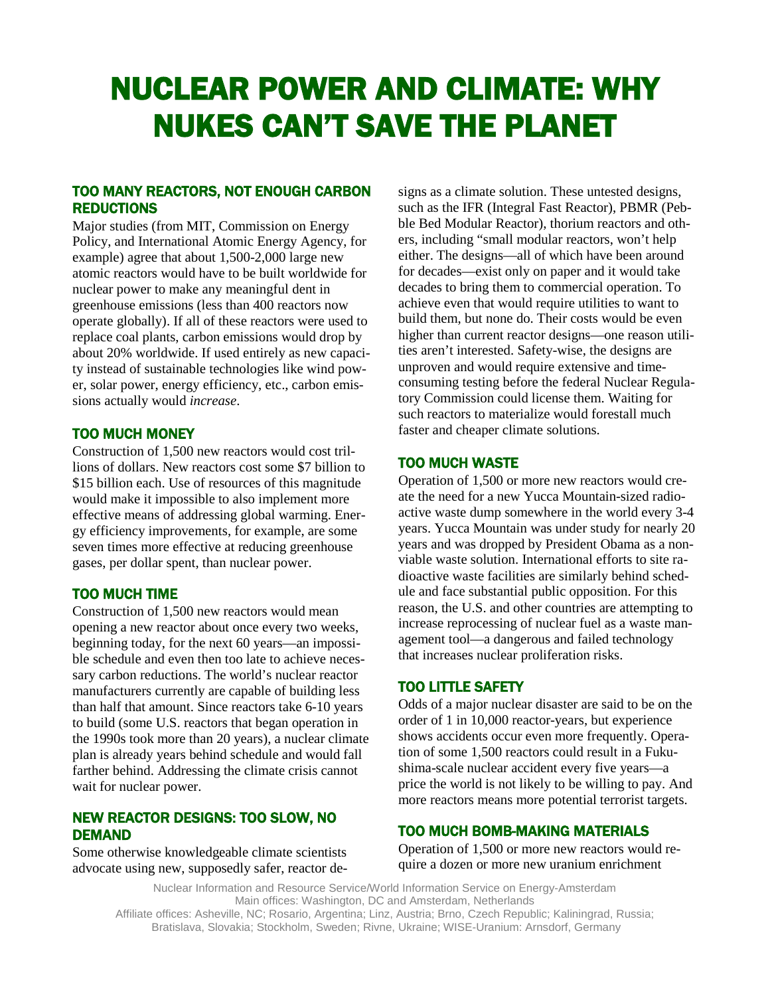# NUCLEAR POWER AND CLIMATE: WHY NUKES CAN'T SAVE THE PLANET

## TOO MANY REACTORS, NOT ENOUGH CARBON **REDUCTIONS**

Major studies (from MIT, Commission on Energy Policy, and International Atomic Energy Agency, for example) agree that about 1,500-2,000 large new atomic reactors would have to be built worldwide for nuclear power to make any meaningful dent in greenhouse emissions (less than 400 reactors now operate globally). If all of these reactors were used to replace coal plants, carbon emissions would drop by about 20% worldwide. If used entirely as new capacity instead of sustainable technologies like wind power, solar power, energy efficiency, etc., carbon emissions actually would *increase*.

#### TOO MUCH MONEY

Construction of 1,500 new reactors would cost trillions of dollars. New reactors cost some \$7 billion to \$15 billion each. Use of resources of this magnitude would make it impossible to also implement more effective means of addressing global warming. Energy efficiency improvements, for example, are some seven times more effective at reducing greenhouse gases, per dollar spent, than nuclear power.

## TOO MUCH TIME

Construction of 1,500 new reactors would mean opening a new reactor about once every two weeks, beginning today, for the next 60 years—an impossible schedule and even then too late to achieve necessary carbon reductions. The world's nuclear reactor manufacturers currently are capable of building less than half that amount. Since reactors take 6-10 years to build (some U.S. reactors that began operation in the 1990s took more than 20 years), a nuclear climate plan is already years behind schedule and would fall farther behind. Addressing the climate crisis cannot wait for nuclear power.

## NEW REACTOR DESIGNS: TOO SLOW, NO DEMAND

Some otherwise knowledgeable climate scientists advocate using new, supposedly safer, reactor designs as a climate solution. These untested designs, such as the IFR (Integral Fast Reactor), PBMR (Pebble Bed Modular Reactor), thorium reactors and others, including "small modular reactors, won't help either. The designs—all of which have been around for decades—exist only on paper and it would take decades to bring them to commercial operation. To achieve even that would require utilities to want to build them, but none do. Their costs would be even higher than current reactor designs—one reason utilities aren't interested. Safety-wise, the designs are unproven and would require extensive and timeconsuming testing before the federal Nuclear Regulatory Commission could license them. Waiting for such reactors to materialize would forestall much faster and cheaper climate solutions.

## TOO MUCH WASTE

Operation of 1,500 or more new reactors would create the need for a new Yucca Mountain-sized radioactive waste dump somewhere in the world every 3-4 years. Yucca Mountain was under study for nearly 20 years and was dropped by President Obama as a nonviable waste solution. International efforts to site radioactive waste facilities are similarly behind schedule and face substantial public opposition. For this reason, the U.S. and other countries are attempting to increase reprocessing of nuclear fuel as a waste management tool—a dangerous and failed technology that increases nuclear proliferation risks.

# TOO LITTLE SAFETY

Odds of a major nuclear disaster are said to be on the order of 1 in 10,000 reactor-years, but experience shows accidents occur even more frequently. Operation of some 1,500 reactors could result in a Fukushima-scale nuclear accident every five years—a price the world is not likely to be willing to pay. And more reactors means more potential terrorist targets.

## TOO MUCH BOMB-MAKING MATERIALS

Operation of 1,500 or more new reactors would require a dozen or more new uranium enrichment

Nuclear Information and Resource Service/World Information Service on Energy-Amsterdam Main offices: Washington, DC and Amsterdam, Netherlands Affiliate offices: Asheville, NC; Rosario, Argentina; Linz, Austria; Brno, Czech Republic; Kaliningrad, Russia; Bratislava, Slovakia; Stockholm, Sweden; Rivne, Ukraine; WISE-Uranium: Arnsdorf, Germany